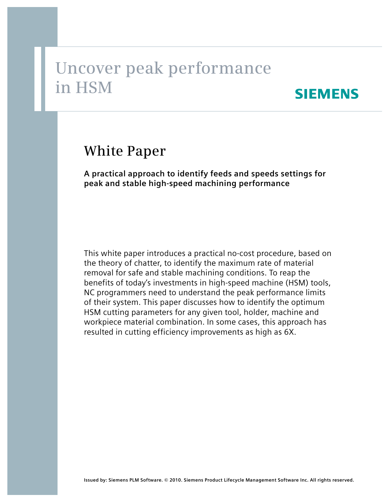# **Uncover peak performance in HSM**

## **SIEMENS**

## **White Paper**

**A practical approach to identify feeds and speeds settings for peak and stable high-speed machining performance**

This white paper introduces a practical no-cost procedure, based on the theory of chatter, to identify the maximum rate of material removal for safe and stable machining conditions. To reap the benefits of today's investments in high-speed machine (HSM) tools, NC programmers need to understand the peak performance limits of their system. This paper discusses how to identify the optimum HSM cutting parameters for any given tool, holder, machine and workpiece material combination. In some cases, this approach has resulted in cutting efficiency improvements as high as 6X.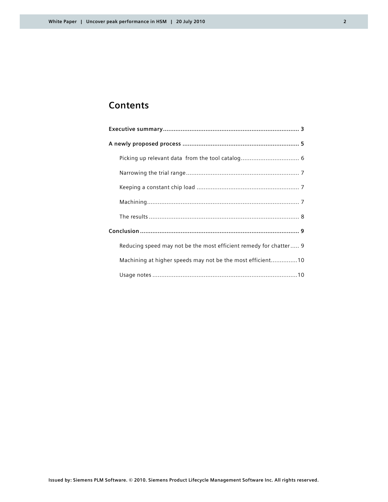### **Contents**

| Reducing speed may not be the most efficient remedy for chatter 9 |
|-------------------------------------------------------------------|
| Machining at higher speeds may not be the most efficient10        |
|                                                                   |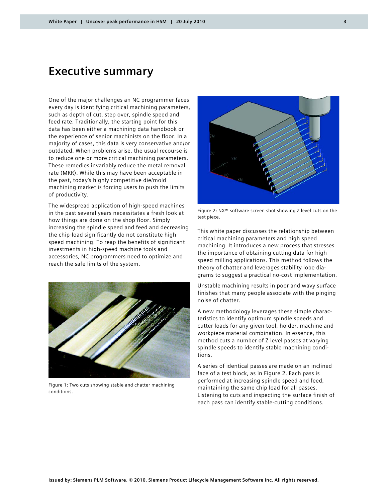## **Executive summary**

One of the major challenges an NC programmer faces every day is identifying critical machining parameters, such as depth of cut, step over, spindle speed and feed rate. Traditionally, the starting point for this data has been either a machining data handbook or the experience of senior machinists on the floor. In a majority of cases, this data is very conservative and/or outdated. When problems arise, the usual recourse is to reduce one or more critical machining parameters. These remedies invariably reduce the metal removal rate (MRR). While this may have been acceptable in the past, today's highly competitive die/mold machining market is forcing users to push the limits of productivity.

The widespread application of high-speed machines in the past several years necessitates a fresh look at how things are done on the shop floor. Simply increasing the spindle speed and feed and decreasing the chip-load significantly do not constitute high speed machining. To reap the benefits of significant investments in high-speed machine tools and accessories, NC programmers need to optimize and reach the safe limits of the system.



Figure 1: Two cuts showing stable and chatter machining conditions.



Figure 2: NX™ software screen shot showing Z level cuts on the test piece.

This white paper discusses the relationship between critical machining parameters and high speed machining. It introduces a new process that stresses the importance of obtaining cutting data for high speed milling applications. This method follows the theory of chatter and leverages stability lobe diagrams to suggest a practical no-cost implementation.

Unstable machining results in poor and wavy surface finishes that many people associate with the pinging noise of chatter.

A new methodology leverages these simple characteristics to identify optimum spindle speeds and cutter loads for any given tool, holder, machine and workpiece material combination. In essence, this method cuts a number of Z level passes at varying spindle speeds to identify stable machining conditions.

A series of identical passes are made on an inclined face of a test block, as in Figure 2. Each pass is performed at increasing spindle speed and feed, maintaining the same chip load for all passes. Listening to cuts and inspecting the surface finish of each pass can identify stable-cutting conditions.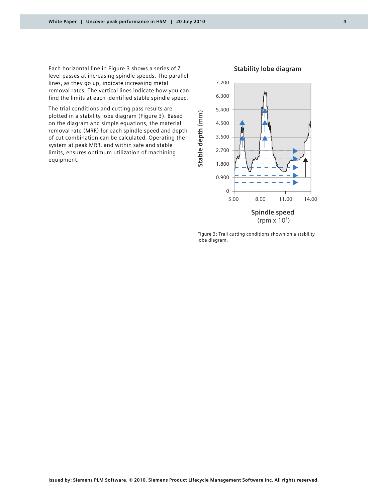Each horizontal line in Figure 3 shows a series of Z level passes at increasing spindle speeds. The parallel lines, as they go up, indicate increasing metal removal rates. The vertical lines indicate how you can find the limits at each identified stable spindle speed.

The trial conditions and cutting pass results are plotted in a stability lobe diagram (Figure 3). Based on the diagram and simple equations, the material removal rate (MRR) for each spindle speed and depth of cut combination can be calculated. Operating the system at peak MRR, and within safe and stable limits, ensures optimum utilization of machining equipment.



#### **Stability lobe diagram**

Figure 3: Trail cutting conditions shown on a stability lobe diagram.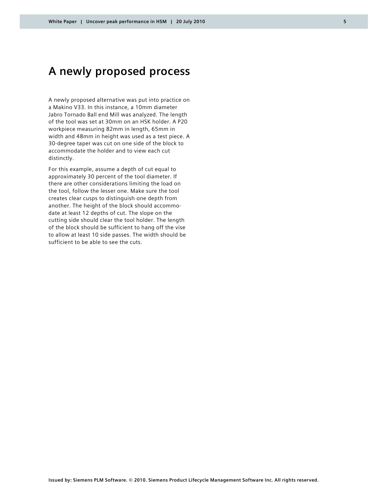## **A newly proposed process**

A newly proposed alternative was put into practice on a Makino V33. In this instance, a 10mm diameter Jabro Tornado Ball end Mill was analyzed. The length of the tool was set at 30mm on an HSK holder. A P20 workpiece measuring 82mm in length, 65mm in width and 48mm in height was used as a test piece. A 30-degree taper was cut on one side of the block to accommodate the holder and to view each cut distinctly.

For this example, assume a depth of cut equal to approximately 30 percent of the tool diameter. If there are other considerations limiting the load on the tool, follow the lesser one. Make sure the tool creates clear cusps to distinguish one depth from another. The height of the block should accommodate at least 12 depths of cut. The slope on the cutting side should clear the tool holder. The length of the block should be sufficient to hang off the vise to allow at least 10 side passes. The width should be sufficient to be able to see the cuts.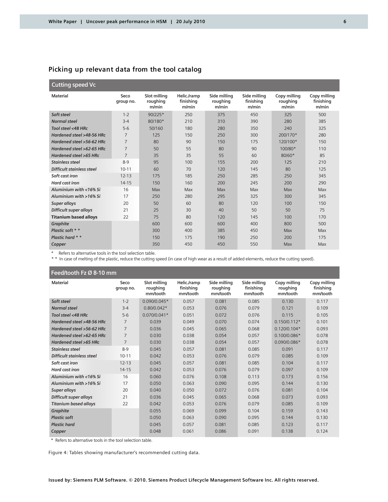#### **Picking up relevant data from the tool catalog**

#### **Cutting speed Vc**

| <b>Material</b>               | Seco<br>group no. | Slot milling<br>roughing<br>m/min | Helic./ramp<br>finishing<br>m/min | Side milling<br>roughing<br>m/min | Side milling<br>finishing<br>m/min | Copy milling<br>roughing<br>m/min | Copy milling<br>finishing<br>m/min |
|-------------------------------|-------------------|-----------------------------------|-----------------------------------|-----------------------------------|------------------------------------|-----------------------------------|------------------------------------|
| Soft steel                    | $1 - 2$           | $90/225*$                         | 250                               | 375                               | 450                                | 325                               | 500                                |
| <b>Normal steel</b>           | $3 - 4$           | 80/180*                           | 210                               | 310                               | 390                                | 280                               | 385                                |
| Tool steel <48 HRc            | $5 - 6$           | 50/160                            | 180                               | 280                               | 350                                | 240                               | 325                                |
| Hardened steel >48-56 HRc     | $\overline{7}$    | 125                               | 150                               | 250                               | 300                                | 200/170*                          | 280                                |
| Hardened steel >56-62 HRc     | $\overline{7}$    | 80                                | 90                                | 150                               | 175                                | 120/100*                          | 150                                |
| Hardened steel >62-65 HRc     | $\overline{7}$    | 50                                | 55                                | 80                                | 90                                 | 100/80*                           | 110                                |
| Hardened steel >65 HRc        | $\overline{7}$    | 35                                | 35                                | 55                                | 60                                 | $80/60*$                          | 85                                 |
| Stainless steel               | $8-9$             | 95                                | 100                               | 155                               | 200                                | 125                               | 210                                |
| Difficult stainless steel     | $10 - 11$         | 60                                | 70                                | 120                               | 145                                | 80                                | 125                                |
| Soft cast iron                | $12 - 13$         | 175                               | 185                               | 250                               | 285                                | 250                               | 345                                |
| Hard cast iron                | $14 - 15$         | 150                               | 160                               | 200                               | 245                                | 200                               | 290                                |
| Aluminium with <16% Si        | 16                | Max                               | Max                               | Max                               | Max                                | Max                               | Max                                |
| Aluminium with >16% Si        | 17                | 250                               | 280                               | 295                               | 325                                | 300                               | 345                                |
| <b>Super alloys</b>           | 20                | 50                                | 60                                | 80                                | 120                                | 100                               | 150                                |
| <b>Difficult super alloys</b> | 21                | 25                                | 30                                | 40                                | 50                                 | 50                                | 75                                 |
| <b>Titanium based alloys</b>  | 22                | 75                                | 80                                | 120                               | 145                                | 100                               | 170                                |
| <b>Graphite</b>               |                   | 600                               | 600                               | 600                               | 400                                | 800                               | 500                                |
| Plastic soft * *              |                   | 300                               | 400                               | 385                               | 450                                | Max                               | Max                                |
| Plastic hard * *              |                   | 150                               | 175                               | 190                               | 250                                | 200                               | 175                                |
| Copper                        |                   | 350                               | 450                               | 450                               | 550                                | Max                               | Max                                |

Refers to alternative tools in the tool selection table.

\* \* In case of melting of the plastic, reduce the cutting speed (in case of high wear as a result of added elements, reduce the cutting speed).

#### **Feed/tooth Fz Ø 8-10 mm**

| $1$ eeu/tootii i z o o-To Illiii |                   |                |                                      |                                      |                                       |                                      |                                       |
|----------------------------------|-------------------|----------------|--------------------------------------|--------------------------------------|---------------------------------------|--------------------------------------|---------------------------------------|
| <b>Material</b>                  | Seco<br>group no. |                | Helic./ramp<br>finishina<br>mm/tooth | Side milling<br>roughing<br>mm/tooth | Side milling<br>finishing<br>mm/tooth | Copy milling<br>roughing<br>mm/tooth | Copy milling<br>finishing<br>mm/tooth |
| Soft steel                       | $1 - 2$           | 0.090/0.045*   | 0.057                                | 0.081                                | 0.085                                 | 0.130                                | 0.117                                 |
| <b>Normal steel</b>              | $3 - 4$           | $0.80/0.042*$  | 0.053                                | 0.076                                | 0.079                                 | 0.121                                | 0.109                                 |
| Tool steel <48 HRc               | $5-6$             | $0.070/0.041*$ | 0.051                                | 0.072                                | 0.076                                 | 0.115                                | 0.105                                 |
| Hardened steel >48-56 HRc        | 7                 | 0.039          | 0.049                                | 0.070                                | 0.074                                 | $0.150/0.112*$                       | 0.101                                 |
| Hardened steel >56-62 HRc        | $\overline{7}$    | 0.036          | 0.045                                | 0.065                                | 0.068                                 | $0.120/0.104*$                       | 0.093                                 |
| Hardened steel >62-65 HRc        | $\overline{7}$    | 0.030          | 0.038                                | 0.054                                | 0.057                                 | $0.100/0.086*$                       | 0.078                                 |
| Hardened steel >65 HRc           | $\overline{7}$    | 0.030          | 0.038                                | 0.054                                | 0.057                                 | 0.090/0.086*                         | 0.078                                 |
| <b>Stainless steel</b>           | $8-9$             | 0.045          | 0.057                                | 0.081                                | 0.085                                 | 0.091                                | 0.117                                 |
| Difficult stainless steel        | $10 - 11$         | 0.042          | 0.053                                | 0.076                                | 0.079                                 | 0.085                                | 0.109                                 |
| Soft cast iron                   | $12 - 13$         | 0.045          | 0.057                                | 0.081                                | 0.085                                 | 0.104                                | 0.117                                 |
| Hard cast iron                   | $14 - 15$         | 0.042          | 0.053                                | 0.076                                | 0.079                                 | 0.097                                | 0.109                                 |
| Aluminium with <16% Si           | 16                | 0.060          | 0.076                                | 0.108                                | 0.113                                 | 0.173                                | 0.156                                 |
| Aluminium with >16% Si           | 17                | 0.050          | 0.063                                | 0.090                                | 0.095                                 | 0.144                                | 0.130                                 |
| <b>Super alloys</b>              | 20                | 0.040          | 0.050                                | 0.072                                | 0.076                                 | 0.081                                | 0.104                                 |
| <b>Difficult super alloys</b>    | 21                | 0.036          | 0.045                                | 0.065                                | 0.068                                 | 0.073                                | 0.093                                 |
| <b>Titanium based alloys</b>     | 22                | 0.042          | 0.053                                | 0.076                                | 0.079                                 | 0.085                                | 0.109                                 |
| Graphite                         |                   | 0.055          | 0.069                                | 0.099                                | 0.104                                 | 0.159                                | 0.143                                 |
| <b>Plastic soft</b>              |                   | 0.050          | 0.063                                | 0.090                                | 0.095                                 | 0.144                                | 0.130                                 |
| <b>Plastic hard</b>              |                   | 0.045          | 0.057                                | 0.081                                | 0.085                                 | 0.123                                | 0.117                                 |
| Copper                           |                   | 0.048          | 0.061                                | 0.086                                | 0.091                                 | 0.138                                | 0.124                                 |

\* Refers to alternative tools in the tool selection table.

Figure 4: Tables showing manufacturer's recommended cutting data.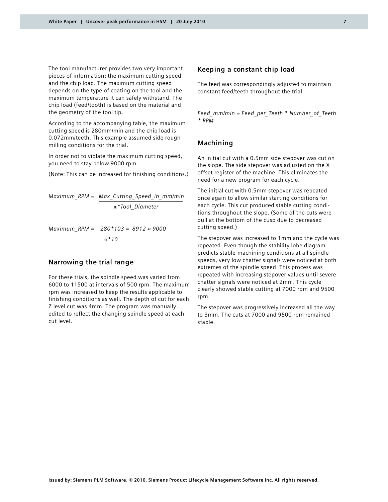The tool manufacturer provides two very important pieces of information: the maximum cutting speed and the chip load. The maximum cutting speed depends on the type of coating on the tool and the maximum temperature it can safely withstand. The chip load (feed/tooth) is based on the material and the geometry of the tool tip.

According to the accompanying table, the maximum cutting speed is 280mm/min and the chip load is 0.072mm/teeth. This example assumed side rough milling conditions for the trial.

In order not to violate the maximum cutting speed, you need to stay below 9000 rpm.

(Note: This can be increased for finishing conditions.)

*Maximum\_RPM = Max\_Cutting\_Speed\_in\_mm/min*  $π*$ *Tool Diameter* 

*Maximum\_RPM = 280\*103 = 8912 ≈ 9000*  $\pi$ <sup>\*</sup>10

#### **Narrowing the trial range**

For these trials, the spindle speed was varied from 6000 to 11500 at intervals of 500 rpm. The maximum rpm was increased to keep the results applicable to finishing conditions as well. The depth of cut for each Z level cut was 4mm. The program was manually edited to reflect the changing spindle speed at each cut level.

#### **Keeping a constant chip load**

The feed was correspondingly adjusted to maintain constant feed/teeth throughout the trial.

*Feed\_mm/min = Feed\_per\_Teeth \* Number\_of\_Teeth \* RPM*

#### **Machining**

An initial cut with a 0.5mm side stepover was cut on the slope. The side stepover was adjusted on the X offset register of the machine. This eliminates the need for a new program for each cycle.

The initial cut with 0.5mm stepover was repeated once again to allow similar starting conditions for each cycle. This cut produced stable cutting conditions throughout the slope. (Some of the cuts were dull at the bottom of the cusp due to decreased cutting speed.)

The stepover was increased to 1mm and the cycle was repeated. Even though the stability lobe diagram predicts stable-machining conditions at all spindle speeds, very low chatter signals were noticed at both extremes of the spindle speed. This process was repeated with increasing stepover values until severe chatter signals were noticed at 2mm. This cycle clearly showed stable cutting at 7000 rpm and 9500 rpm.

The stepover was progressively increased all the way to 3mm. The cuts at 7000 and 9500 rpm remained stable.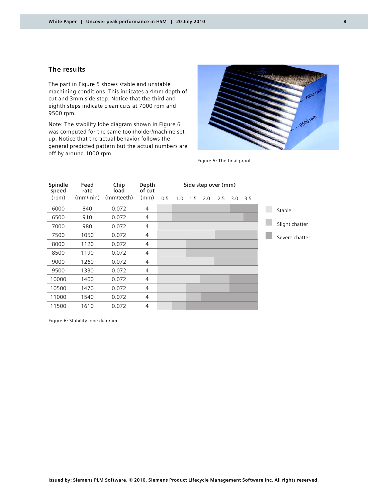#### **The results**

The part in Figure 5 shows stable and unstable machining conditions. This indicates a 4mm depth of cut and 3mm side step. Notice that the third and eighth steps indicate clean cuts at 7000 rpm and 9500 rpm.

Note: The stability lobe diagram shown in Figure 6 was computed for the same tool/holder/machine set up. Notice that the actual behavior follows the general predicted pattern but the actual numbers are off by around 1000 rpm.



Figure 5: The final proof.

| Spindle<br>speed | Feed<br>rate | Chip<br>load | Depth<br>of cut |     | Side step over (mm) |     |     |     |     |     |                |
|------------------|--------------|--------------|-----------------|-----|---------------------|-----|-----|-----|-----|-----|----------------|
| (rpm)            | (mm/min)     | (mm/teeth)   | (mm)            | 0.5 | 1.0                 | 1.5 | 2.0 | 2.5 | 3.0 | 3.5 |                |
| 6000             | 840          | 0.072        | $\overline{4}$  |     |                     |     |     |     |     |     | Stable         |
| 6500             | 910          | 0.072        | 4               |     |                     |     |     |     |     |     |                |
| 7000             | 980          | 0.072        | $\overline{4}$  |     |                     |     |     |     |     |     | Slight chatter |
| 7500             | 1050         | 0.072        | 4               |     |                     |     |     |     |     |     | Severe chatter |
| 8000             | 1120         | 0.072        | 4               |     |                     |     |     |     |     |     |                |
| 8500             | 1190         | 0.072        | 4               |     |                     |     |     |     |     |     |                |
| 9000             | 1260         | 0.072        | 4               |     |                     |     |     |     |     |     |                |
| 9500             | 1330         | 0.072        | $\overline{4}$  |     |                     |     |     |     |     |     |                |
| 10000            | 1400         | 0.072        | 4               |     |                     |     |     |     |     |     |                |
| 10500            | 1470         | 0.072        | 4               |     |                     |     |     |     |     |     |                |
| 11000            | 1540         | 0.072        | 4               |     |                     |     |     |     |     |     |                |
| 11500            | 1610         | 0.072        | 4               |     |                     |     |     |     |     |     |                |

Figure 6: Stability lobe diagram.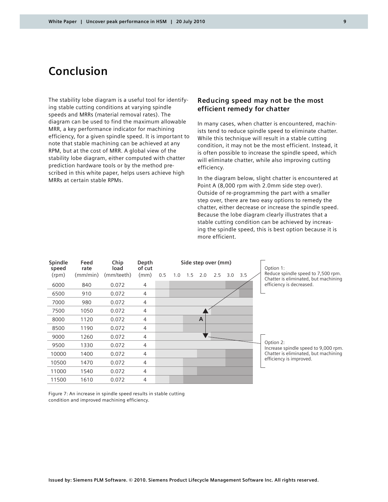## **Conclusion**

The stability lobe diagram is a useful tool for identifying stable cutting conditions at varying spindle speeds and MRRs (material removal rates). The diagram can be used to find the maximum allowable MRR, a key performance indicator for machining efficiency, for a given spindle speed. It is important to note that stable machining can be achieved at any RPM, but at the cost of MRR. A global view of the stability lobe diagram, either computed with chatter prediction hardware tools or by the method prescribed in this white paper, helps users achieve high MRRs at certain stable RPMs.

#### **Reducing speed may not be the most efficient remedy for chatter**

In many cases, when chatter is encountered, machinists tend to reduce spindle speed to eliminate chatter. While this technique will result in a stable cutting condition, it may not be the most efficient. Instead, it is often possible to increase the spindle speed, which will eliminate chatter, while also improving cutting efficiency.

In the diagram below, slight chatter is encountered at Point A (8,000 rpm with 2.0mm side step over). Outside of re-programming the part with a smaller step over, there are two easy options to remedy the chatter, either decrease or increase the spindle speed. Because the lobe diagram clearly illustrates that a stable cutting condition can be achieved by increasing the spindle speed, this is best option because it is more efficient.

| Spindle<br>speed | Feed<br>rate | Chip<br>load | Depth<br>of cut |     |     |     |     | Side step over (mm) |     |     | Option 1:                                                                  |
|------------------|--------------|--------------|-----------------|-----|-----|-----|-----|---------------------|-----|-----|----------------------------------------------------------------------------|
| (rpm)            | (mm/min)     | (mm/teeth)   | (mm)            | 0.5 | 1.0 | 1.5 | 2.0 | 2.5                 | 3.0 | 3.5 | Reduce spindle speed to 7,500 rpm.<br>Chatter is eliminated, but machining |
| 6000             | 840          | 0.072        | $\overline{4}$  |     |     |     |     |                     |     |     | efficiency is decreased.                                                   |
| 6500             | 910          | 0.072        | 4               |     |     |     |     |                     |     |     |                                                                            |
| 7000             | 980          | 0.072        | 4               |     |     |     |     |                     |     |     |                                                                            |
| 7500             | 1050         | 0.072        | $\overline{4}$  |     |     |     |     |                     |     |     |                                                                            |
| 8000             | 1120         | 0.072        | 4               |     |     |     | A   |                     |     |     |                                                                            |
| 8500             | 1190         | 0.072        | $\overline{4}$  |     |     |     |     |                     |     |     |                                                                            |
| 9000             | 1260         | 0.072        | 4               |     |     |     |     |                     |     |     |                                                                            |
| 9500             | 1330         | 0.072        | $\overline{4}$  |     |     |     |     |                     |     |     | Option 2:<br>Increase spindle speed to 9,000 rpm.                          |
| 10000            | 1400         | 0.072        | 4               |     |     |     |     |                     |     |     | Chatter is eliminated, but machining                                       |
| 10500            | 1470         | 0.072        | 4               |     |     |     |     |                     |     |     | efficiency is improved.                                                    |
| 11000            | 1540         | 0.072        | 4               |     |     |     |     |                     |     |     |                                                                            |
| 11500            | 1610         | 0.072        | 4               |     |     |     |     |                     |     |     |                                                                            |

Figure 7: An increase in spindle speed results in stable cutting condition and improved machining efficiency.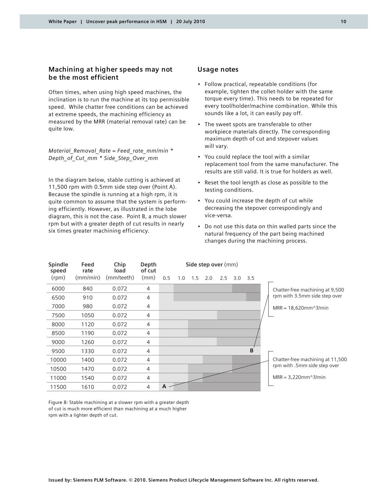#### **Machining at higher speeds may not be the most efficient**

Often times, when using high speed machines, the inclination is to run the machine at its top permissible speed. While chatter free conditions can be achieved at extreme speeds, the machining efficiency as measured by the MRR (material removal rate) can be quite low.

*Material\_Removal\_Rate = Feed\_rate\_mm/min \* Depth\_of\_Cut\_mm \* Side\_Step\_Over\_mm*

In the diagram below, stable cutting is achieved at 11,500 rpm with 0.5mm side step over (Point A). Because the spindle is running at a high rpm, it is quite common to assume that the system is performing efficiently. However, as illustrated in the lobe diagram, this is not the case. Point B, a much slower rpm but with a greater depth of cut results in nearly six times greater machining efficiency.

#### **Usage notes**

- Follow practical, repeatable conditions (for example, tighten the collet-holder with the same torque every time). This needs to be repeated for every tool/holder/machine combination. While this sounds like a lot, it can easily pay off.
- The sweet spots are transferable to other workpiece materials directly. The corresponding maximum depth of cut and stepover values will vary.
- You could replace the tool with a similar replacement tool from the same manufacturer. The results are still valid. It is true for holders as well.
- Reset the tool length as close as possible to the testing conditions.
- You could increase the depth of cut while decreasing the stepover correspondingly and vice-versa.
- Do not use this data on thin walled parts since the natural frequency of the part being machined changes during the machining process.

| Spindle<br>speed | Feed<br>rate | Chip<br>load | Depth<br>of cut | Side step over (mm) |     |     |     |     |     |     |  |                                  |
|------------------|--------------|--------------|-----------------|---------------------|-----|-----|-----|-----|-----|-----|--|----------------------------------|
| (rpm)            | (mm/min)     | (mm/teeth)   | (mm)            | 0.5                 | 1.0 | 1.5 | 2.0 | 2.5 | 3.0 | 3.5 |  |                                  |
| 6000             | 840          | 0.072        | 4               |                     |     |     |     |     |     |     |  | Chatter-free machining at 9,500  |
| 6500             | 910          | 0.072        | 4               |                     |     |     |     |     |     |     |  | rpm with 3.5mm side step over    |
| 7000             | 980          | 0.072        | 4               |                     |     |     |     |     |     |     |  | $MRR = 18,620mm^{3}/min$         |
| 7500             | 1050         | 0.072        | 4               |                     |     |     |     |     |     |     |  |                                  |
| 8000             | 1120         | 0.072        | 4               |                     |     |     |     |     |     |     |  |                                  |
| 8500             | 1190         | 0.072        | 4               |                     |     |     |     |     |     |     |  |                                  |
| 9000             | 1260         | 0.072        | 4               |                     |     |     |     |     |     |     |  |                                  |
| 9500             | 1330         | 0.072        | 4               |                     |     |     |     |     |     | B   |  |                                  |
| 10000            | 1400         | 0.072        | 4               |                     |     |     |     |     |     |     |  | Chatter-free machining at 11,500 |
| 10500            | 1470         | 0.072        | 4               |                     |     |     |     |     |     |     |  | rpm with .5mm side step over     |
| 11000            | 1540         | 0.072        | 4               |                     |     |     |     |     |     |     |  | $MRR = 3,220mm^{3}/min$          |
| 11500            | 1610         | 0.072        | 4               | A                   |     |     |     |     |     |     |  |                                  |

Figure 8: Stable machining at a slower rpm with a greater depth of cut is much more efficient than machining at a much higher rpm with a lighter depth of cut.